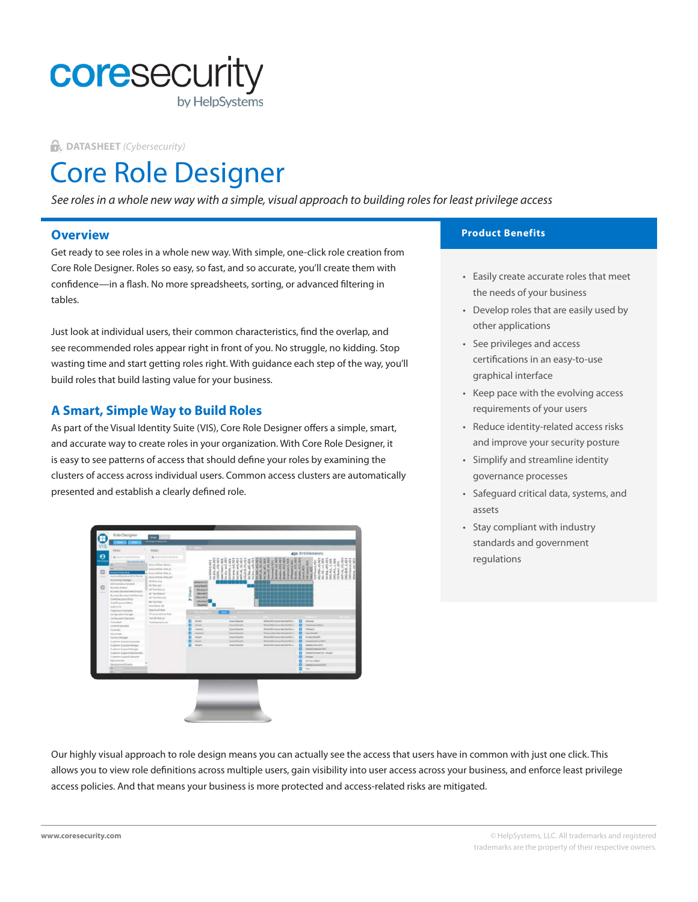

**DATASHEET** *(Cybersecurity)*

# Core Role Designer

*See roles in a whole new way with a simple, visual approach to building roles for least privilege access*

## **Overview**

Get ready to see roles in a whole new way. With simple, one-click role creation from Core Role Designer. Roles so easy, so fast, and so accurate, you'll create them with confidence—in a flash. No more spreadsheets, sorting, or advanced filtering in tables.

Just look at individual users, their common characteristics, find the overlap, and see recommended roles appear right in front of you. No struggle, no kidding. Stop wasting time and start getting roles right. With guidance each step of the way, you'll build roles that build lasting value for your business.

## **A Smart, Simple Way to Build Roles**

As part of the Visual Identity Suite (VIS), Core Role Designer offers a simple, smart, and accurate way to create roles in your organization. With Core Role Designer, it is easy to see patterns of access that should define your roles by examining the clusters of access across individual users. Common access clusters are automatically presented and establish a clearly defined role.



#### **Product Benefits**

- Easily create accurate roles that meet the needs of your business
- Develop roles that are easily used by other applications
- See privileges and access certifications in an easy-to-use graphical interface
- Keep pace with the evolving access requirements of your users
- Reduce identity-related access risks and improve your security posture
- Simplify and streamline identity governance processes
- Safeguard critical data, systems, and assets
- Stay compliant with industry standards and government regulations

Our highly visual approach to role design means you can actually see the access that users have in common with just one click. This allows you to view role definitions across multiple users, gain visibility into user access across your business, and enforce least privilege access policies. And that means your business is more protected and access-related risks are mitigated.